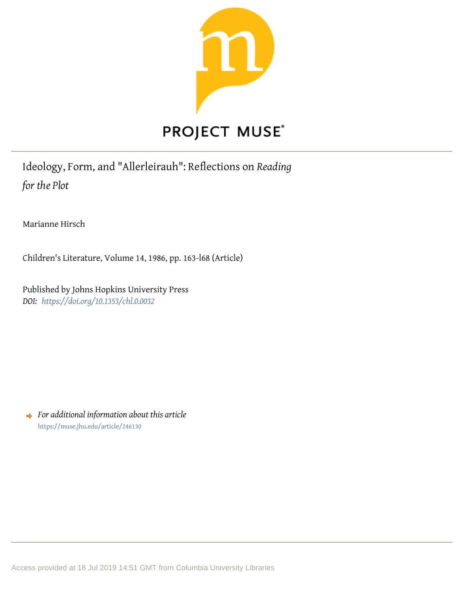

Ideology, Form, and "Allerleirauh": Reflections on *Reading for the Plot*

Marianne Hirsch

Children's Literature, Volume 14, 1986, pp. 163-l68 (Article)

Published by Johns Hopkins University Press *DOI: <https://doi.org/10.1353/chl.0.0032>*

*For additional information about this article* <https://muse.jhu.edu/article/246130>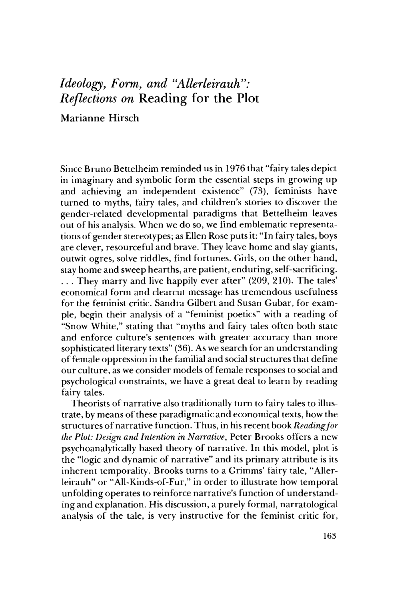## Ideology, Form, and "Allerleirauh": Reflections on Reading for the Plot

## Marianne Hirsch

Since Bruno Bettelheim reminded us in 1976 that "fairy tales depict in imaginary and symbolic form the essential steps in growing up and achieving an independent existence" (73), feminists have turned to myths, fairy tales, and children's stories to discover the gender-related developmental paradigms that Bettelheim leaves out of his analysis. When we do so, we find emblematic representations of gender stereotypes; as Ellen Rose puts it: "In fairy tales, boys are clever, resourceful and brave. They leave home and slay giants, outwit ogres, solve riddles, find fortunes. Girls, on the other hand, stay home and sweep hearths, are patient, enduring, self-sacrificing. . . . They marry and live happily ever after" (209, 210). The tales' economical form and clearcut message has tremendous usefulness for the feminist critic. Sandra Gilbert and Susan Gubar, for example, begin their analysis of a "feminist poetics" with a reading of "Snow White," stating that "myths and fairy tales often both state and enforce culture's sentences with greater accuracy than more sophisticated literary texts" (36). As we search for an understanding of female oppression in the familial and social structures that define our culture, as we consider models of female responses to social and psychological constraints, we have a great deal to learn by reading fairy tales.

Theorists of narrative also traditionally turn to fairy tales to illustrate, by means of these paradigmatic and economical texts, how the structures of narrative function. Thus, in his recent book Reading for the Plot: Design and Intention in Narrative, Peter Brooks offers a new psychoanalytically based theory of narrative. In this model, plot is the "logic and dynamic of narrative" and its primary attribute is its inherent temporality. Brooks turns to a Grimms' fairy tale, "Allerleirauh" or "All-Kinds-of-Fur," in order to illustrate how temporal unfolding operates to reinforce narrative's function of understanding and explanation. His discussion, a purely formal, narratological analysis of the tale, is very instructive for the feminist critic for,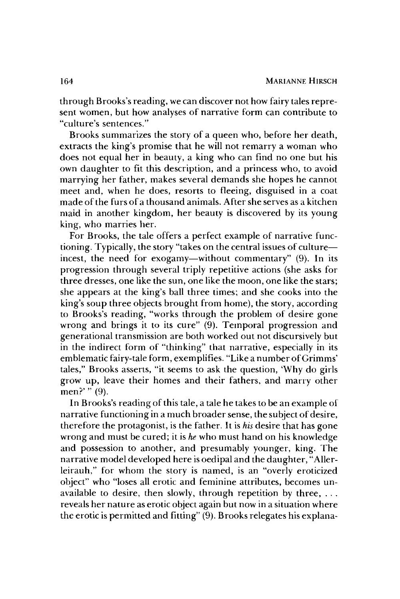through Brooks's reading, we can discover not how fairy tales represent women, but how analyses of narrative form can contribute to "culture's sentences."

Brooks summarizes the story of a queen who, before her death, extracts the king's promise that he will not remarry a woman who does not equal her in beauty, a king who can find no one but his own daughter to fit this description, and a princess who, to avoid marrying her father, makes several demands she hopes he cannot meet and, when he does, resorts to fleeing, disguised in a coat made of the furs of a thousand animals. After she serves as a kitchen maid in another kingdom, her beauty is discovered by its young king, who marries her.

For Brooks, the tale offers a perfect example of narrative functioning. Typically, the story "takes on the central issues of culture incest, the need for exogamy—without commentary" (9). In its progression through several triply repetitive actions (she asks for three dresses, one like the sun, one like the moon, one like the stars; she appears at the king's ball three times; and she cooks into the king's soup three objects brought from home), the story, according to Brooks's reading, "works through the problem of desire gone wrong and brings it to its cure" (9). Temporal progression and generational transmission are both worked out not discursively but in the indirect form of "thinking" that narrative, especially in its emblematic fairy-tale form, exemplifies. "Like a number of Grimms' tales," Brooks asserts, "it seems to ask the question, 'Why do girls grow up, leave their homes and their fathers, and marry other men?' " (9).

In Brooks's reading of this tale, a tale he takes to be an example of narrative functioning in a much broader sense, the subject of desire, therefore the protagonist, is the father. It is his desire that has gone wrong and must be cured; it is he who must hand on his knowledge and possession to another, and presumably younger, king. The narrative model developed here is oedipal and the daughter, "Allerleirauh," for whom the story is named, is an "overly eroticized object" who "loses all erotic and feminine attributes, becomes unavailable to desire, then slowly, through repetition by three,  $\dots$ reveals her nature as erotic object again but now in a situation where the erotic is permitted and fitting"  $(9)$ . Brooks relegates his explana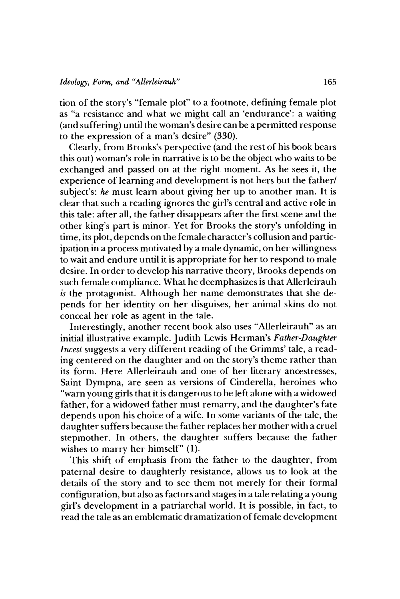tion of the story's "female plot" to a footnote, defining female plot as "a resistance and what we might call an 'endurance': a waiting (and suffering) until the woman's desire can be a permitted response to the expression of a man's desire" (330).

Clearly, from Brooks's perspective (and the rest of his book bears this out) woman's role in narrative is to be the object who waits to be exchanged and passed on at the right moment. As he sees it, the experience of learning and development is not hers but the father/ subject's: he must learn about giving her up to another man. It is clear that such a reading ignores the girl's central and active role in this tale: after all, the father disappears after the first scene and the other king's part is minor. Yet for Brooks the story's unfolding in time, its plot, depends on the female character's collusion and participation in a process motivated by a male dynamic, on her willingness to wait and endure until it is appropriate for her to respond to male desire. In order to develop his narrative theory, Brooks depends on such female compliance. What he deemphasizes is that Allerleirauh  $\dot{\mathbf{z}}$  the protagonist. Although her name demonstrates that she depends for her identity on her disguises, her animal skins do not conceal her role as agent in the tale.

Interestingly, another recent book also uses "Allerleirauh" as an initial illustrative example. Judith Lewis Herman's Father-Daughter Incest suggests a very different reading of the Grimms' tale, a reading centered on the daughter and on the story's theme rather than its form. Here Allerleirauh and one of her literary ancestresses, Saint Dympna, are seen as versions of Cinderella, heroines who "warn young girls that it is dangerous to be left alone with a widowed father, for a widowed father must remarry, and the daughter's fate depends upon his choice of a wife. In some variants of the tale, the daughter suffers because the father replaces her mother with a cruel stepmother. In others, the daughter suffers because the father wishes to marry her himself" (1).

This shift of emphasis from the father to the daughter, from paternal desire to daughterly resistance, allows us to look at the details of the story and to see them not merely for their formal configuration, but also as factors and stages in a tale relating a young girl's development in a patriarchal world. It is possible, in fact, to read the tale as an emblematic dramatization of female development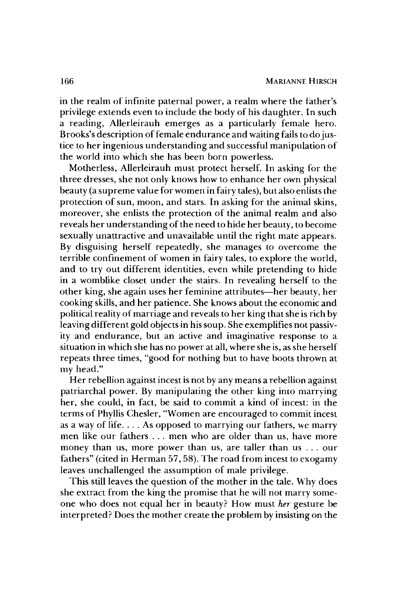in the realm of infinite paternal power, a realm where the father's privilege extends even to include the body of his daughter. In such a reading, Allerleirauh emerges as a particularly female hero. Brooks's description of female endurance and waiting fails to do justice to her ingenious understanding and successful manipulation of the world into which she has been born powerless.

Motherless, Allerleirauh must protect herself. In asking for the three dresses, she not only knows how to enhance her own physical beauty (a supreme value for women in fairy tales), but also enlists the protection of sun, moon, and stars. In asking for the animal skins, moreover, she enlists the protection of the animal realm and also reveals her understanding of the need to hide her beauty, to become sexually unattractive and unavailable until the right mate appears. By disguising herself repeatedly, she manages to overcome the terrible confinement of women in fairy tales, to explore the world, and to try out different identities, even while pretending to hide in a womblike closet under the stairs. In revealing herself to the other king, she again uses her feminine attributes—her beauty, her cooking skills, and her patience. She knows about the economic and political reality of marriage and reveals to her king that she is rich by leaving different gold objects in his soup. She exemplifies not passivity and endurance, but an active and imaginative response to a situation in which she has no power at all, where she is, as she herself repeats three times, "good for nothing but to have boots thrown at my head."

Her rebellion against incest is not by any means a rebellion against patriarchal power. By manipulating the other king into marrying her, she could, in fact, be said to commit a kind of incest: in the terms of Phyllis Chesler, "Women are encouraged to commit incest as a way of life. ... As opposed to marrying our fathers, we marry men like our fathers . . . men who are older than us, have more money than us, more power than us, are taller than us . . . our fathers" (cited in Herman 57, 58). The road from incest to exogamy leaves unchallenged the assumption of male privilege.

This still leaves the question of the mother in the tale. Why does she extract from the king the promise that he will not marry someone who does not equal her in beauty? How must her gesture be interpreted? Does the mother create the problem by insisting on the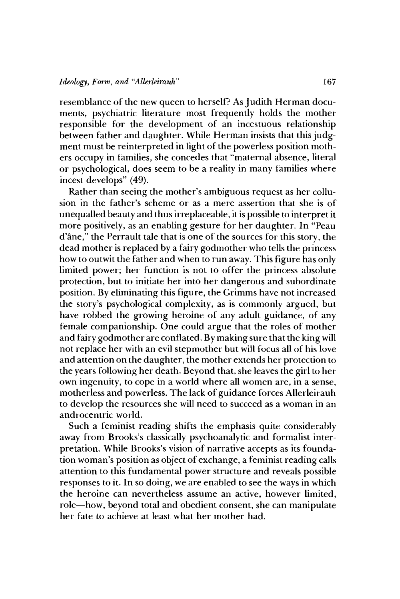resemblance of the new queen to herself? As Judith Herman documents, psychiatric literature most frequently holds the mother responsible for the development of an incestuous relationship between father and daughter. While Herman insists that this judgment must be reinterpreted in light of the powerless position mothers occupy in families, she concedes that "maternal absence, literal or psychological, does seem to be a reality in many families where incest develops" (49).

Rather than seeing the mother's ambiguous request as her collusion in the father's scheme or as a mere assertion that she is of unequalled beauty and thus irreplaceable, it is possible to interpret it more positively, as an enabling gesture for her daughter. In "Peau d'âne," the Perrault tale that is one of the sources for this story, the dead mother is replaced by a fairy godmother who tells the princess how to outwit the father and when to run away. This figure has only limited power; her function is not to offer the princess absolute protection, but to initiate her into her dangerous and subordinate position. By eliminating this figure, the Grimms have not increased the story's psychological complexity, as is commonly argued, but have robbed the growing heroine of any adult guidance, of any female companionship. One could argue that the roles of mother and fairy godmother are conflated. By making sure that the king will not replace her with an evil stepmother but will focus all of his love and attention on the daughter, the mother extends her protection to the years following her death. Beyond that, she leaves the girl to her own ingenuity, to cope in a world where all women are, in a sense, motherless and powerless. The lack of guidance forces Allerleirauh to develop the resources she will need to succeed as a woman in an androcentric world.

Such a feminist reading shifts the emphasis quite considerably away from Brooks's classically psychoanalytic and formalist interpretation. While Brooks's vision of narrative accepts as its foundation woman's position as object of exchange, a feminist reading calls attention to this fundamental power structure and reveals possible responses to it. In so doing, we are enabled to see the ways in which the heroine can nevertheless assume an active, however limited, role—how, beyond total and obedient consent, she can manipulate her fate to achieve at least what her mother had.